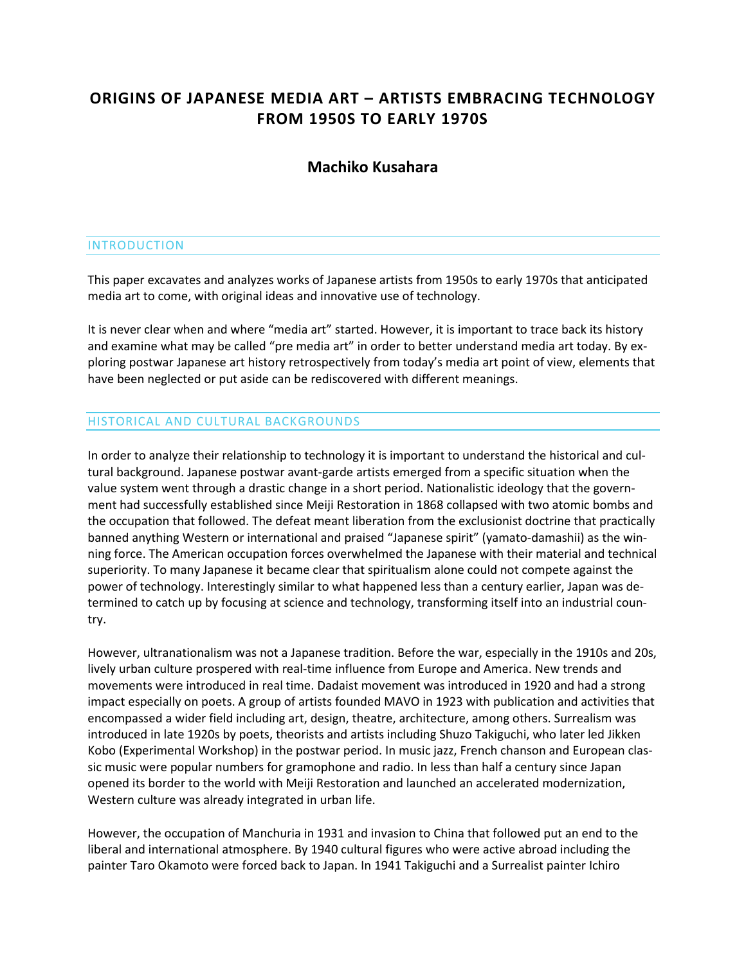# **ORIGINS OF JAPANESE MEDIA ART – ARTISTS EMBRACING TECHNOLOGY FROM 1950S TO EARLY 1970S**

# **Machiko Kusahara**

#### **INTRODUCTION**

This paper excavates and analyzes works of Japanese artists from 1950s to early 1970s that anticipated media art to come, with original ideas and innovative use of technology.

It is never clear when and where "media art" started. However, it is important to trace back its history and examine what may be called "pre media art" in order to better understand media art today. By exploring postwar Japanese art history retrospectively from today's media art point of view, elements that have been neglected or put aside can be rediscovered with different meanings.

#### HISTORICAL AND CULTURAL BACKGROUNDS

In order to analyze their relationship to technology it is important to understand the historical and cultural background. Japanese postwar avant-garde artists emerged from a specific situation when the value system went through a drastic change in a short period. Nationalistic ideology that the government had successfully established since Meiji Restoration in 1868 collapsed with two atomic bombs and the occupation that followed. The defeat meant liberation from the exclusionist doctrine that practically banned anything Western or international and praised "Japanese spirit" (yamato-damashii) as the winning force. The American occupation forces overwhelmed the Japanese with their material and technical superiority. To many Japanese it became clear that spiritualism alone could not compete against the power of technology. Interestingly similar to what happened less than a century earlier, Japan was determined to catch up by focusing at science and technology, transforming itself into an industrial country.

However, ultranationalism was not a Japanese tradition. Before the war, especially in the 1910s and 20s, lively urban culture prospered with real-time influence from Europe and America. New trends and movements were introduced in real time. Dadaist movement was introduced in 1920 and had a strong impact especially on poets. A group of artists founded MAVO in 1923 with publication and activities that encompassed a wider field including art, design, theatre, architecture, among others. Surrealism was introduced in late 1920s by poets, theorists and artists including Shuzo Takiguchi, who later led Jikken Kobo (Experimental Workshop) in the postwar period. In music jazz, French chanson and European classic music were popular numbers for gramophone and radio. In less than half a century since Japan opened its border to the world with Meiji Restoration and launched an accelerated modernization, Western culture was already integrated in urban life.

However, the occupation of Manchuria in 1931 and invasion to China that followed put an end to the liberal and international atmosphere. By 1940 cultural figures who were active abroad including the painter Taro Okamoto were forced back to Japan. In 1941 Takiguchi and a Surrealist painter Ichiro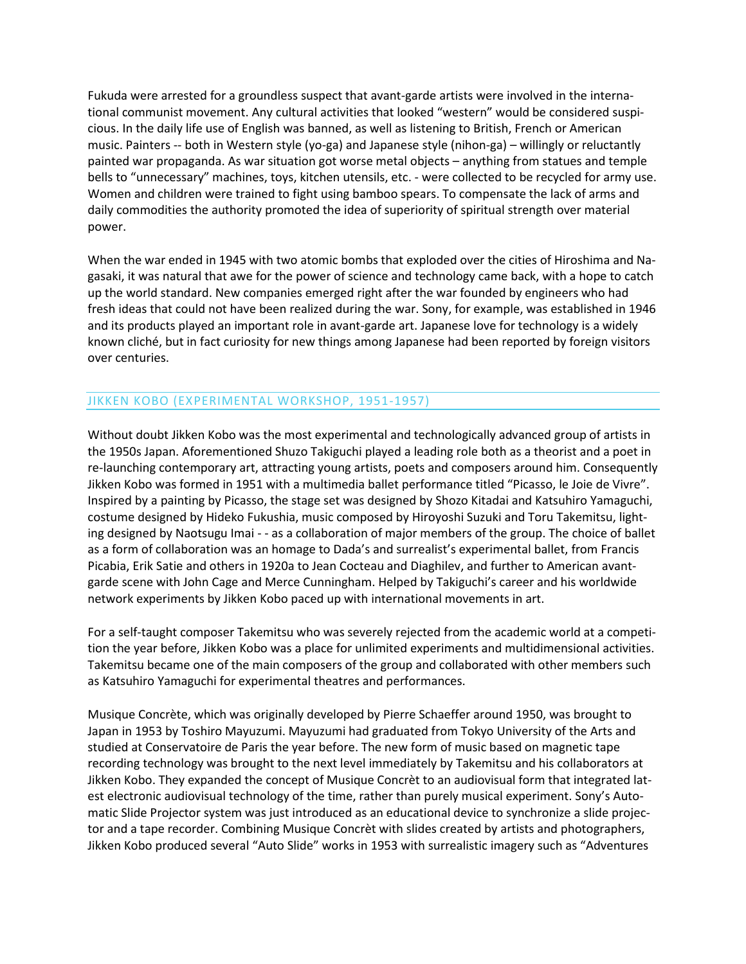Fukuda were arrested for a groundless suspect that avant-garde artists were involved in the international communist movement. Any cultural activities that looked "western" would be considered suspicious. In the daily life use of English was banned, as well as listening to British, French or American music. Painters -- both in Western style (yo-ga) and Japanese style (nihon-ga) – willingly or reluctantly painted war propaganda. As war situation got worse metal objects – anything from statues and temple bells to "unnecessary" machines, toys, kitchen utensils, etc. - were collected to be recycled for army use. Women and children were trained to fight using bamboo spears. To compensate the lack of arms and daily commodities the authority promoted the idea of superiority of spiritual strength over material power.

When the war ended in 1945 with two atomic bombs that exploded over the cities of Hiroshima and Nagasaki, it was natural that awe for the power of science and technology came back, with a hope to catch up the world standard. New companies emerged right after the war founded by engineers who had fresh ideas that could not have been realized during the war. Sony, for example, was established in 1946 and its products played an important role in avant-garde art. Japanese love for technology is a widely known cliché, but in fact curiosity for new things among Japanese had been reported by foreign visitors over centuries.

## JIKKEN KOBO (EXPERIMENTAL WORKSHOP, 1951-1957)

Without doubt Jikken Kobo was the most experimental and technologically advanced group of artists in the 1950s Japan. Aforementioned Shuzo Takiguchi played a leading role both as a theorist and a poet in re-launching contemporary art, attracting young artists, poets and composers around him. Consequently Jikken Kobo was formed in 1951 with a multimedia ballet performance titled "Picasso, le Joie de Vivre". Inspired by a painting by Picasso, the stage set was designed by Shozo Kitadai and Katsuhiro Yamaguchi, costume designed by Hideko Fukushia, music composed by Hiroyoshi Suzuki and Toru Takemitsu, lighting designed by Naotsugu Imai - - as a collaboration of major members of the group. The choice of ballet as a form of collaboration was an homage to Dada's and surrealist's experimental ballet, from Francis Picabia, Erik Satie and others in 1920a to Jean Cocteau and Diaghilev, and further to American avantgarde scene with John Cage and Merce Cunningham. Helped by Takiguchi's career and his worldwide network experiments by Jikken Kobo paced up with international movements in art.

For a self-taught composer Takemitsu who was severely rejected from the academic world at a competition the year before, Jikken Kobo was a place for unlimited experiments and multidimensional activities. Takemitsu became one of the main composers of the group and collaborated with other members such as Katsuhiro Yamaguchi for experimental theatres and performances.

Musique Concrète, which was originally developed by Pierre Schaeffer around 1950, was brought to Japan in 1953 by Toshiro Mayuzumi. Mayuzumi had graduated from Tokyo University of the Arts and studied at Conservatoire de Paris the year before. The new form of music based on magnetic tape recording technology was brought to the next level immediately by Takemitsu and his collaborators at Jikken Kobo. They expanded the concept of Musique Concrèt to an audiovisual form that integrated latest electronic audiovisual technology of the time, rather than purely musical experiment. Sony's Automatic Slide Projector system was just introduced as an educational device to synchronize a slide projector and a tape recorder. Combining Musique Concrèt with slides created by artists and photographers, Jikken Kobo produced several "Auto Slide" works in 1953 with surrealistic imagery such as "Adventures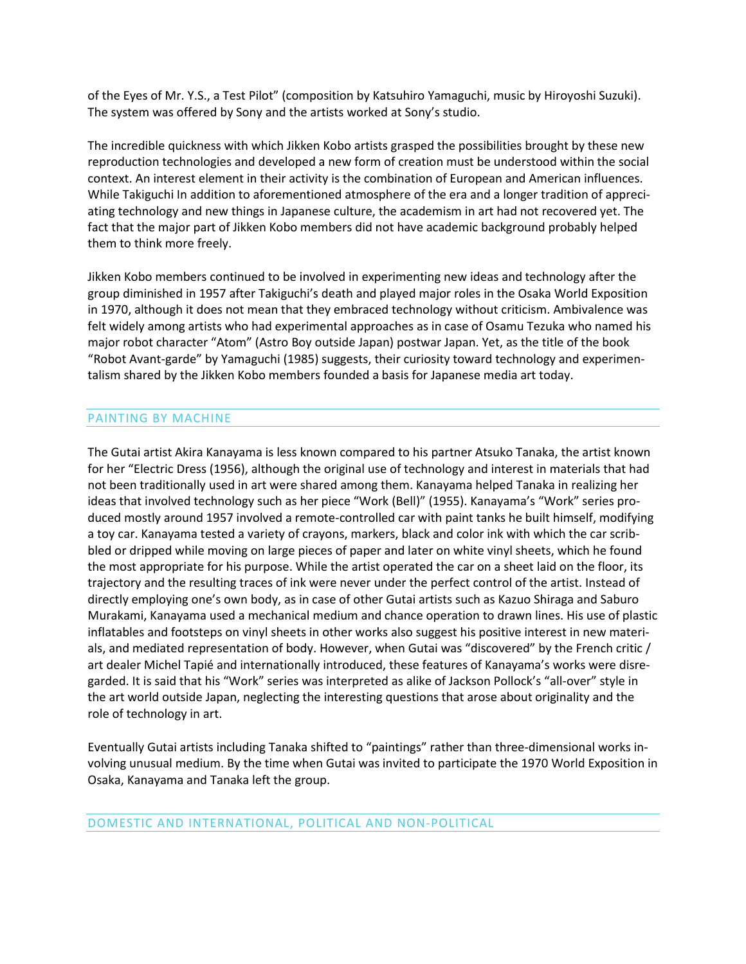of the Eyes of Mr. Y.S., a Test Pilot" (composition by Katsuhiro Yamaguchi, music by Hiroyoshi Suzuki). The system was offered by Sony and the artists worked at Sony's studio.

The incredible quickness with which Jikken Kobo artists grasped the possibilities brought by these new reproduction technologies and developed a new form of creation must be understood within the social context. An interest element in their activity is the combination of European and American influences. While Takiguchi In addition to aforementioned atmosphere of the era and a longer tradition of appreciating technology and new things in Japanese culture, the academism in art had not recovered yet. The fact that the major part of Jikken Kobo members did not have academic background probably helped them to think more freely.

Jikken Kobo members continued to be involved in experimenting new ideas and technology after the group diminished in 1957 after Takiguchi's death and played major roles in the Osaka World Exposition in 1970, although it does not mean that they embraced technology without criticism. Ambivalence was felt widely among artists who had experimental approaches as in case of Osamu Tezuka who named his major robot character "Atom" (Astro Boy outside Japan) postwar Japan. Yet, as the title of the book "Robot Avant-garde" by Yamaguchi (1985) suggests, their curiosity toward technology and experimentalism shared by the Jikken Kobo members founded a basis for Japanese media art today.

## PAINTING BY MACHINE

The Gutai artist Akira Kanayama is less known compared to his partner Atsuko Tanaka, the artist known for her "Electric Dress (1956), although the original use of technology and interest in materials that had not been traditionally used in art were shared among them. Kanayama helped Tanaka in realizing her ideas that involved technology such as her piece "Work (Bell)" (1955). Kanayama's "Work" series produced mostly around 1957 involved a remote-controlled car with paint tanks he built himself, modifying a toy car. Kanayama tested a variety of crayons, markers, black and color ink with which the car scribbled or dripped while moving on large pieces of paper and later on white vinyl sheets, which he found the most appropriate for his purpose. While the artist operated the car on a sheet laid on the floor, its trajectory and the resulting traces of ink were never under the perfect control of the artist. Instead of directly employing one's own body, as in case of other Gutai artists such as Kazuo Shiraga and Saburo Murakami, Kanayama used a mechanical medium and chance operation to drawn lines. His use of plastic inflatables and footsteps on vinyl sheets in other works also suggest his positive interest in new materials, and mediated representation of body. However, when Gutai was "discovered" by the French critic / art dealer Michel Tapié and internationally introduced, these features of Kanayama's works were disregarded. It is said that his "Work" series was interpreted as alike of Jackson Pollock's "all-over" style in the art world outside Japan, neglecting the interesting questions that arose about originality and the role of technology in art.

Eventually Gutai artists including Tanaka shifted to "paintings" rather than three-dimensional works involving unusual medium. By the time when Gutai was invited to participate the 1970 World Exposition in Osaka, Kanayama and Tanaka left the group.